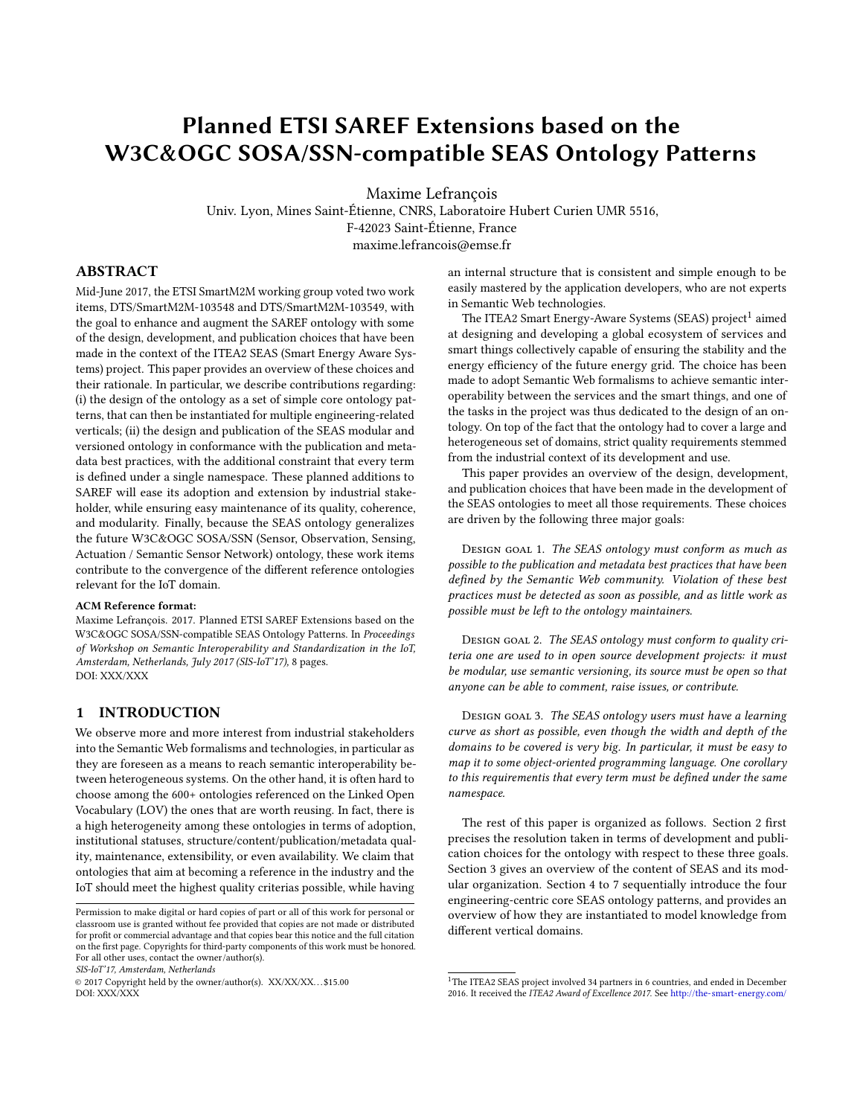# Planned ETSI SAREF Extensions based on the W3C&OGC SOSA/SSN-compatible SEAS Ontology Patterns

Maxime Lefrançois

Univ. Lyon, Mines Saint-Étienne, CNRS, Laboratoire Hubert Curien UMR 5516, F-42023 Saint-Étienne, France maxime.lefrancois@emse.fr

# ABSTRACT

Mid-June 2017, the ETSI SmartM2M working group voted two work items, DTS/SmartM2M-103548 and DTS/SmartM2M-103549, with the goal to enhance and augment the SAREF ontology with some of the design, development, and publication choices that have been made in the context of the ITEA2 SEAS (Smart Energy Aware Systems) project. This paper provides an overview of these choices and their rationale. In particular, we describe contributions regarding: (i) the design of the ontology as a set of simple core ontology patterns, that can then be instantiated for multiple engineering-related verticals; (ii) the design and publication of the SEAS modular and versioned ontology in conformance with the publication and metadata best practices, with the additional constraint that every term is defined under a single namespace. These planned additions to SAREF will ease its adoption and extension by industrial stakeholder, while ensuring easy maintenance of its quality, coherence, and modularity. Finally, because the SEAS ontology generalizes the future W3C&OGC SOSA/SSN (Sensor, Observation, Sensing, Actuation / Semantic Sensor Network) ontology, these work items contribute to the convergence of the different reference ontologies relevant for the IoT domain.

#### ACM Reference format:

Maxime Lefrançois. 2017. Planned ETSI SAREF Extensions based on the W3C&OGC SOSA/SSN-compatible SEAS Ontology Patterns. In Proceedings of Workshop on Semantic Interoperability and Standardization in the IoT, Amsterdam, Netherlands, July 2017 (SIS-IoT'17), [8](#page-7-0) pages. DOI: XXX/XXX

# 1 INTRODUCTION

We observe more and more interest from industrial stakeholders into the Semantic Web formalisms and technologies, in particular as they are foreseen as a means to reach semantic interoperability between heterogeneous systems. On the other hand, it is often hard to choose among the 600+ ontologies referenced on the Linked Open Vocabulary (LOV) the ones that are worth reusing. In fact, there is a high heterogeneity among these ontologies in terms of adoption, institutional statuses, structure/content/publication/metadata quality, maintenance, extensibility, or even availability. We claim that ontologies that aim at becoming a reference in the industry and the IoT should meet the highest quality criterias possible, while having

SIS-IoT'17, Amsterdam, Netherlands

an internal structure that is consistent and simple enough to be easily mastered by the application developers, who are not experts in Semantic Web technologies.

The ITEA2 Smart Energy-Aware Systems (SEAS) project<sup>[1](#page-0-0)</sup> aimed at designing and developing a global ecosystem of services and smart things collectively capable of ensuring the stability and the energy efficiency of the future energy grid. The choice has been made to adopt Semantic Web formalisms to achieve semantic interoperability between the services and the smart things, and one of the tasks in the project was thus dedicated to the design of an ontology. On top of the fact that the ontology had to cover a large and heterogeneous set of domains, strict quality requirements stemmed from the industrial context of its development and use.

This paper provides an overview of the design, development, and publication choices that have been made in the development of the SEAS ontologies to meet all those requirements. These choices are driven by the following three major goals:

DESIGN GOAL 1. The SEAS ontology must conform as much as possible to the publication and metadata best practices that have been defined by the Semantic Web community. Violation of these best practices must be detected as soon as possible, and as little work as possible must be left to the ontology maintainers.

DESIGN GOAL 2. The SEAS ontology must conform to quality criteria one are used to in open source development projects: it must be modular, use semantic versioning, its source must be open so that anyone can be able to comment, raise issues, or contribute.

DESIGN GOAL 3. The SEAS ontology users must have a learning curve as short as possible, even though the width and depth of the domains to be covered is very big. In particular, it must be easy to map it to some object-oriented programming language. One corollary to this requirementis that every term must be defined under the same namespace.

The rest of this paper is organized as follows. Section [2](#page-1-0) first precises the resolution taken in terms of development and publication choices for the ontology with respect to these three goals. Section [3](#page-2-0) gives an overview of the content of SEAS and its modular organization. Section [4](#page-2-1) to [7](#page-6-0) sequentially introduce the four engineering-centric core SEAS ontology patterns, and provides an overview of how they are instantiated to model knowledge from different vertical domains.

Permission to make digital or hard copies of part or all of this work for personal or classroom use is granted without fee provided that copies are not made or distributed for profit or commercial advantage and that copies bear this notice and the full citation on the first page. Copyrights for third-party components of this work must be honored. For all other uses, contact the owner/author(s).

<sup>©</sup> 2017 Copyright held by the owner/author(s). XX/XX/XX. . . \$15.00 DOI: XXX/XXX

<span id="page-0-0"></span> $^1\rm{The\ ITEA2\ SEAS}$  project involved 34 partners in 6 countries, and ended in December 2016. It received the ITEA2 Award of Excellence 2017. See <http://the-smart-energy.com/>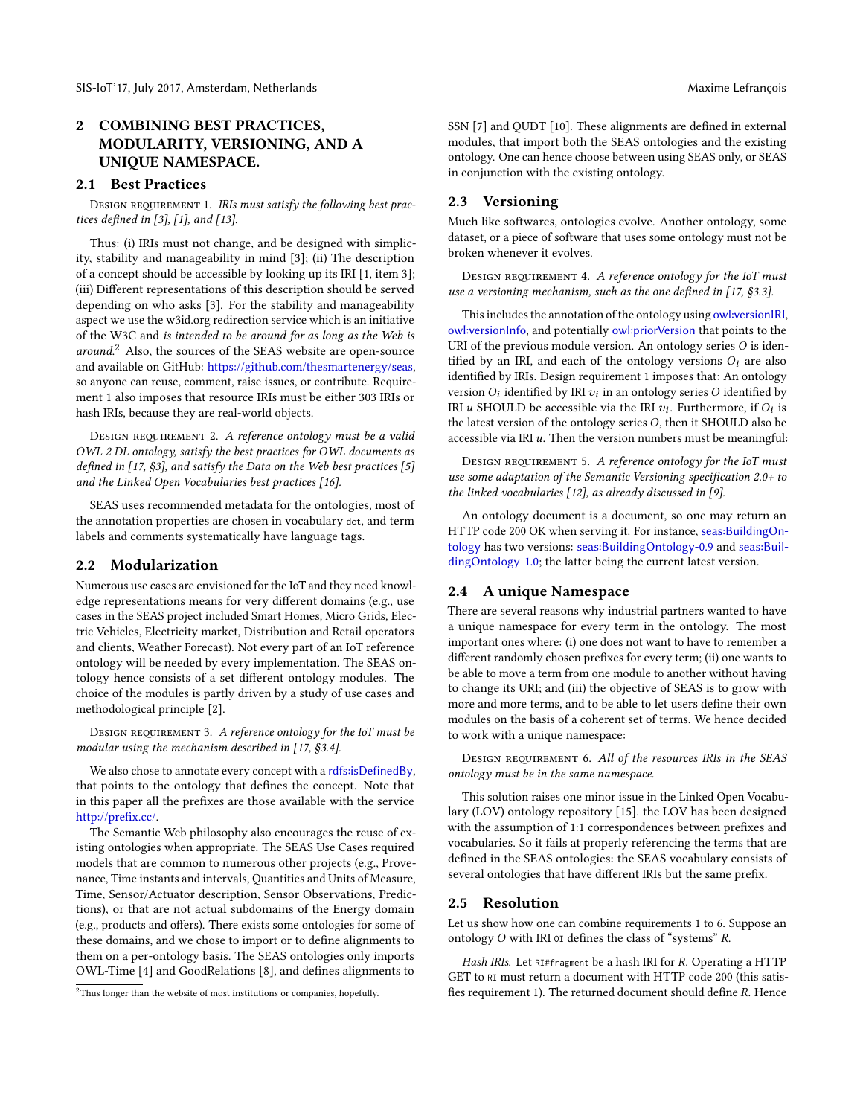# <span id="page-1-0"></span>2 COMBINING BEST PRACTICES, MODULARITY, VERSIONING, AND A UNIQUE NAMESPACE.

# 2.1 Best Practices

<span id="page-1-2"></span>DESIGN REQUIREMENT 1. IRIs must satisfy the following best prac-tices defined in [\[3\]](#page-7-1), [\[1\]](#page-7-2), and [\[13\]](#page-7-3).

Thus: (i) IRIs must not change, and be designed with simplicity, stability and manageability in mind [\[3\]](#page-7-1); (ii) The description of a concept should be accessible by looking up its IRI [\[1,](#page-7-2) item 3]; (iii) Different representations of this description should be served depending on who asks [\[3\]](#page-7-1). For the stability and manageability aspect we use the w3id.org redirection service which is an initiative of the W3C and is intended to be around for as long as the Web is around.<sup>[2](#page-1-1)</sup> Also, the sources of the SEAS website are open-source and available on GitHub: [https://github.com/thesmartenergy/seas,](https://github.com/thesmartenergy/seas) so anyone can reuse, comment, raise issues, or contribute. Requirement [1](#page-1-2) also imposes that resource IRIs must be either 303 IRIs or hash IRIs, because they are real-world objects.

DESIGN REQUIREMENT 2. A reference ontology must be a valid OWL 2 DL ontology, satisfy the best practices for OWL documents as defined in [\[17,](#page-7-4) §3], and satisfy the Data on the Web best practices [\[5\]](#page-7-5) and the Linked Open Vocabularies best practices [\[16\]](#page-7-6).

SEAS uses recommended metadata for the ontologies, most of the annotation properties are chosen in vocabulary dct, and term labels and comments systematically have language tags.

## 2.2 Modularization

Numerous use cases are envisioned for the IoT and they need knowledge representations means for very different domains (e.g., use cases in the SEAS project included Smart Homes, Micro Grids, Electric Vehicles, Electricity market, Distribution and Retail operators and clients, Weather Forecast). Not every part of an IoT reference ontology will be needed by every implementation. The SEAS ontology hence consists of a set different ontology modules. The choice of the modules is partly driven by a study of use cases and methodological principle [\[2\]](#page-7-7).

DESIGN REQUIREMENT 3. A reference ontology for the IoT must be modular using the mechanism described in [\[17,](#page-7-4) §3.4].

We also chose to annotate every concept with a [rdfs:isDefinedBy](http://www.w3.org/2000/01/rdf-schema#isDefinedBy), that points to the ontology that defines the concept. Note that in this paper all the prefixes are those available with the service http://prefix.cc/.

The Semantic Web philosophy also encourages the reuse of existing ontologies when appropriate. The SEAS Use Cases required models that are common to numerous other projects (e.g., Provenance, Time instants and intervals, Quantities and Units of Measure, Time, Sensor/Actuator description, Sensor Observations, Predictions), or that are not actual subdomains of the Energy domain (e.g., products and offers). There exists some ontologies for some of these domains, and we chose to import or to define alignments to them on a per-ontology basis. The SEAS ontologies only imports OWL-Time [\[4\]](#page-7-8) and GoodRelations [\[8\]](#page-7-9), and defines alignments to

SSN [\[7\]](#page-7-10) and OUDT [\[10\]](#page-7-11). These alignments are defined in external modules, that import both the SEAS ontologies and the existing ontology. One can hence choose between using SEAS only, or SEAS in conjunction with the existing ontology.

# 2.3 Versioning

Much like softwares, ontologies evolve. Another ontology, some dataset, or a piece of software that uses some ontology must not be broken whenever it evolves.

DESIGN REQUIREMENT 4. A reference ontology for the IoT must use a versioning mechanism, such as the one defined in  $[17, §3.3]$  $[17, §3.3]$ .

This includes the annotation of the ontology using [owl:versionIRI](http://www.w3.org/2002/07/owl#versionIRI), [owl:versionInfo](http://www.w3.org/2002/07/owl#versionInfo), and potentially [owl:priorVersion](http://www.w3.org/2002/07/owl#priorVersion) that points to the URI of the previous module version. An ontology series O is identified by an IRI, and each of the ontology versions  $O_i$  are also identified by IRIs. Design requirement [1](#page-1-2) imposes that: An ontology version  $O_i$  identified by IRI  $v_i$  in an ontology series  $O$  identified by<br>IPL  $u$  SHOLU D be accessible via the IPL  $v_i$ . Eurthermore, if  $O_i$  is IRI *u* SHOULD be accessible via the IRI  $v_i$ . Furthermore, if  $O_i$  is<br>the latest version of the ontology series  $O$  then it SHOULD also be the latest version of the ontology series O, then it SHOULD also be accessible via IRI  $u$ . Then the version numbers must be meaningful:

DESIGN REQUIREMENT 5. A reference ontology for the IoT must use some adaptation of the Semantic Versioning specification 2.0+ to the linked vocabularies [\[12\]](#page-7-12), as already discussed in [\[9\]](#page-7-13).

An ontology document is a document, so one may return an HTTP code 200 OK when serving it. For instance, [seas:BuildingOn](https://w3id.org/seas/BuildingOntology)[tology](https://w3id.org/seas/BuildingOntology) has two versions: [seas:BuildingOntology-0.9](https://w3id.org/seas/BuildingOntology-0.9) and [seas:Buil](https://w3id.org/seas/BuildingOntology-1.0)[dingOntology-1.0](https://w3id.org/seas/BuildingOntology-1.0); the latter being the current latest version.

# 2.4 A unique Namespace

There are several reasons why industrial partners wanted to have a unique namespace for every term in the ontology. The most important ones where: (i) one does not want to have to remember a different randomly chosen prefixes for every term; (ii) one wants to be able to move a term from one module to another without having to change its URI; and (iii) the objective of SEAS is to grow with more and more terms, and to be able to let users define their own modules on the basis of a coherent set of terms. We hence decided to work with a unique namespace:

<span id="page-1-3"></span>DESIGN REQUIREMENT 6. All of the resources IRIs in the SEAS ontology must be in the same namespace.

This solution raises one minor issue in the Linked Open Vocabulary (LOV) ontology repository [\[15\]](#page-7-14). the LOV has been designed with the assumption of 1:1 correspondences between prefixes and vocabularies. So it fails at properly referencing the terms that are defined in the SEAS ontologies: the SEAS vocabulary consists of several ontologies that have different IRIs but the same prefix.

#### <span id="page-1-4"></span>2.5 Resolution

Let us show how one can combine requirements [1](#page-1-2) to [6.](#page-1-3) Suppose an ontology  $O$  with IRI or defines the class of "systems"  $R$ .

Hash IRIs. Let RI#fragment be a hash IRI for R. Operating a HTTP GET to RI must return a document with HTTP code 200 (this satis- fies requirement [1\)](#page-1-2). The returned document should define R. Hence

<span id="page-1-1"></span><sup>2</sup>Thus longer than the website of most institutions or companies, hopefully.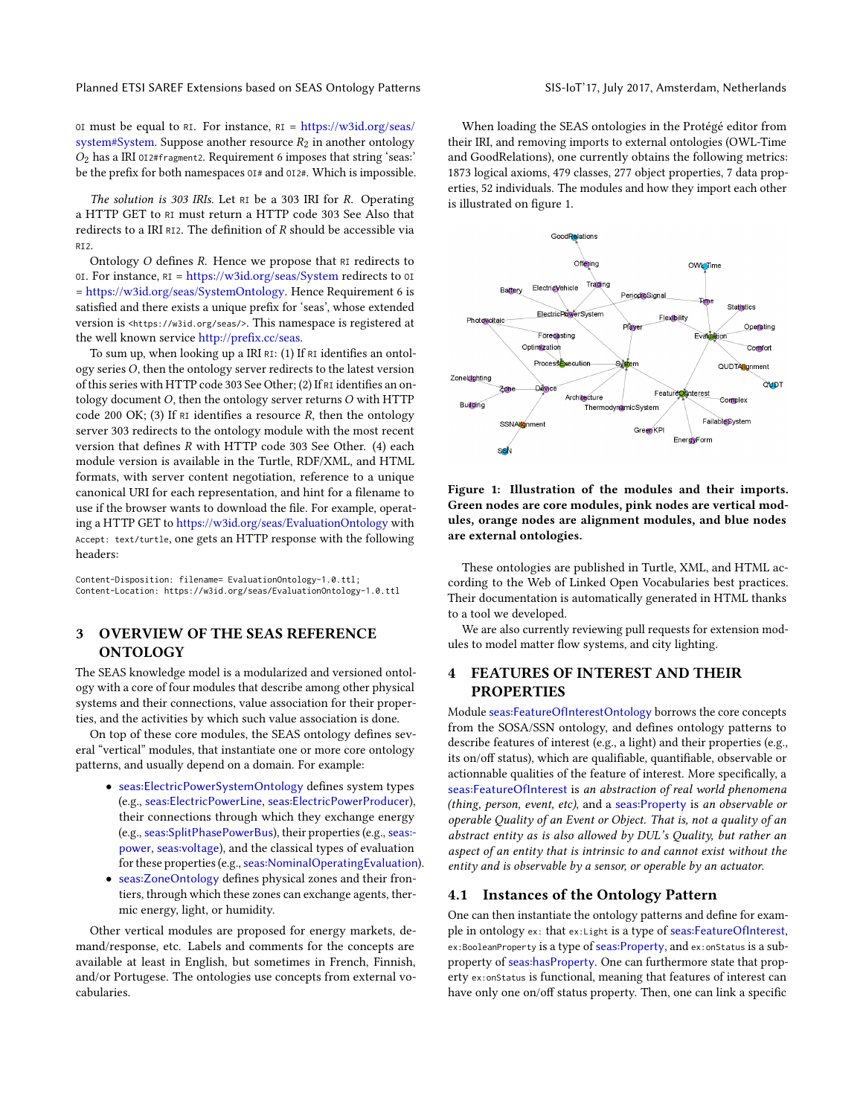Planned ETSI SAREF Extensions based on SEAS Ontology Patterns SIS-IoT'17, July 2017, Amsterdam, Netherlands

OI must be equal to RI. For instance,  $RI = \frac{https://w3id.org/seas/}{$  $RI = \frac{https://w3id.org/seas/}{$  $RI = \frac{https://w3id.org/seas/}{$ [system#System.](https://w3id.org/seas/system#System) Suppose another resource  $R_2$  in another ontology  $O_2$  has a IRI 012#fragment2. Requirement [6](#page-1-3) imposes that string 'seas: be the prefix for both namespaces  $0I#$  and  $0I2#$ . Which is impossible.

The solution is 303 IRIs. Let RI be a 303 IRI for R. Operating a HTTP GET to RI must return a HTTP code 303 See Also that redirects to a IRI RI2. The definition of  $R$  should be accessible via RI2.

Ontology  $O$  defines  $R$ . Hence we propose that  $RI$  redirects to OI. For instance, RI = <https://w3id.org/seas/System> redirects to OI = [https://w3id.org/seas/SystemOntology.](https://w3id.org/seas/SystemOntology) Hence Requirement [6](#page-1-3) is satisfied and there exists a unique prefix for 'seas', whose extended version is <https://w3id.org/seas/>. This namespace is registered at the well known service http://prefix.cc/seas.

To sum up, when looking up a IRI RI:  $(1)$  If RI identifies an ontology seriesO, then the ontology server redirects to the latest version of this series with HTTP code 303 See Other; (2) If RI identifies an ontology document O, then the ontology server returns O with HTTP code 200 OK; (3) If RI identifies a resource R, then the ontology server 303 redirects to the ontology module with the most recent version that defines  $R$  with HTTP code 303 See Other. (4) each module version is available in the Turtle, RDF/XML, and HTML formats, with server content negotiation, reference to a unique canonical URI for each representation, and hint for a filename to use if the browser wants to download the file. For example, operating a HTTP GET to <https://w3id.org/seas/EvaluationOntology> with Accept: text/turtle, one gets an HTTP response with the following headers:

Content-Disposition: filename= EvaluationOntology-1.0.ttl; Content-Location: https://w3id.org/seas/EvaluationOntology-1.0.ttl

# <span id="page-2-0"></span>3 OVERVIEW OF THE SEAS REFERENCE **ONTOLOGY**

The SEAS knowledge model is a modularized and versioned ontology with a core of four modules that describe among other physical systems and their connections, value association for their properties, and the activities by which such value association is done.

On top of these core modules, the SEAS ontology defines several "vertical" modules, that instantiate one or more core ontology patterns, and usually depend on a domain. For example:

- [seas:ElectricPowerSystemOntology](https://w3id.org/seas/ElectricPowerSystemOntology) defines system types (e.g., [seas:ElectricPowerLine](https://w3id.org/seas/ElectricPowerLine), [seas:ElectricPowerProducer](https://w3id.org/seas/ElectricPowerProducer)), their connections through which they exchange energy (e.g., [seas:SplitPhasePowerBus](https://w3id.org/seas/SplitPhasePowerBus)), their properties (e.g., [seas:](https://w3id.org/seas/power) [power](https://w3id.org/seas/power), [seas:voltage](https://w3id.org/seas/voltage)), and the classical types of evaluation for these properties (e.g., [seas:NominalOperatingEvaluation](https://w3id.org/seas/NominalOperatingEvaluation)).
- [seas:ZoneOntology](https://w3id.org/seas/ZoneOntology) defines physical zones and their frontiers, through which these zones can exchange agents, thermic energy, light, or humidity.

Other vertical modules are proposed for energy markets, demand/response, etc. Labels and comments for the concepts are available at least in English, but sometimes in French, Finnish, and/or Portugese. The ontologies use concepts from external vocabularies.

When loading the SEAS ontologies in the Protégé editor from their IRI, and removing imports to external ontologies (OWL-Time and GoodRelations), one currently obtains the following metrics: 1873 logical axioms, 479 classes, 277 object properties, 7 data properties, 52 individuals. The modules and how they import each other is illustrated on figure [1.](#page-2-2)

<span id="page-2-2"></span>

Figure 1: Illustration of the modules and their imports. Green nodes are core modules, pink nodes are vertical modules, orange nodes are alignment modules, and blue nodes are external ontologies.

These ontologies are published in Turtle, XML, and HTML according to the Web of Linked Open Vocabularies best practices. Their documentation is automatically generated in HTML thanks to a tool we developed.

We are also currently reviewing pull requests for extension modules to model matter flow systems, and city lighting.

# <span id="page-2-1"></span>FEATURES OF INTEREST AND THEIR **PROPERTIES**

Module [seas:FeatureOfInterestOntology](https://w3id.org/seas/FeatureOfInterestOntology) borrows the core concepts from the SOSA/SSN ontology, and defines ontology patterns to describe features of interest (e.g., a light) and their properties (e.g., its on/off status), which are qualifiable, quantifiable, observable or actionnable qualities of the feature of interest. More specifically, a [seas:FeatureOfInterest](https://w3id.org/seas/FeatureOfInterest) is an abstraction of real world phenomena (thing, person, event, etc), and a [seas:Property](https://w3id.org/seas/Property) is an observable or operable Quality of an Event or Object. That is, not a quality of an abstract entity as is also allowed by DUL's Quality, but rather an aspect of an entity that is intrinsic to and cannot exist without the entity and is observable by a sensor, or operable by an actuator.

## 4.1 Instances of the Ontology Pattern

One can then instantiate the ontology patterns and define for example in ontology ex: that ex:Light is a type of [seas:FeatureOfInterest](https://w3id.org/seas/FeatureOfInterest), ex:BooleanProperty is a type of [seas:Property](https://w3id.org/seas/Property), and ex:onStatus is a subproperty of [seas:hasProperty](https://w3id.org/seas/hasProperty). One can furthermore state that property ex:onStatus is functional, meaning that features of interest can have only one on/off status property. Then, one can link a specific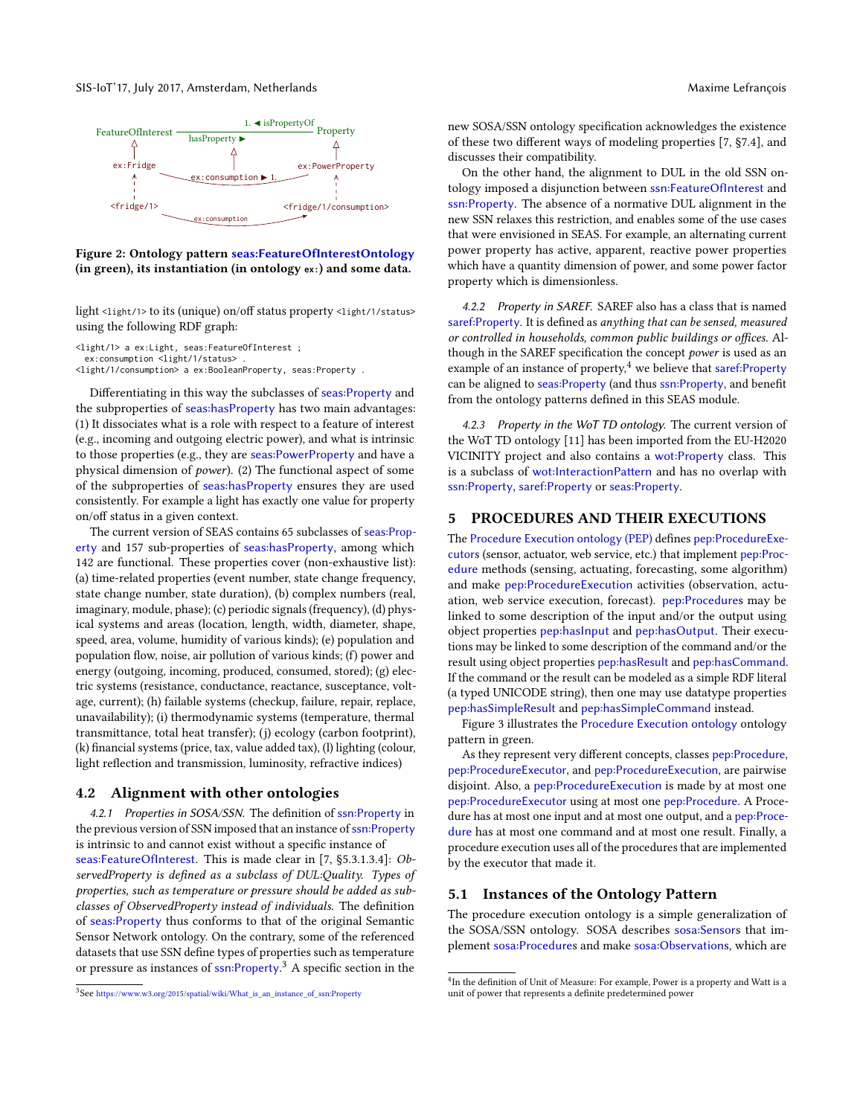

Figure 2: Ontology pattern [seas:FeatureOfInterestOntology](https://w3id.org/seas/FeatureOfInterestOntology) (in green), its instantiation (in ontology **ex:**) and some data.

light <light/1> to its (unique) on/off status property <light/1/status> using the following RDF graph:

<light/1> a ex:Light, seas:FeatureOfInterest ;

ex:consumption <light/1/status>

<light/1/consumption> a ex:BooleanProperty, seas:Property .

Differentiating in this way the subclasses of [seas:Property](https://w3id.org/seas/Property) and the subproperties of [seas:hasProperty](https://w3id.org/seas/hasProperty) has two main advantages: (1) It dissociates what is a role with respect to a feature of interest (e.g., incoming and outgoing electric power), and what is intrinsic to those properties (e.g., they are [seas:PowerProperty](https://w3id.org/seas/PowerProperty) and have a physical dimension of power). (2) The functional aspect of some of the subproperties of [seas:hasProperty](https://w3id.org/seas/hasProperty) ensures they are used consistently. For example a light has exactly one value for property on/off status in a given context.

The current version of SEAS contains 65 subclasses of [seas:Prop](https://w3id.org/seas/Property)[erty](https://w3id.org/seas/Property) and 157 sub-properties of [seas:hasProperty](https://w3id.org/seas/hasProperty), among which 142 are functional. These properties cover (non-exhaustive list): (a) time-related properties (event number, state change frequency, state change number, state duration), (b) complex numbers (real, imaginary, module, phase); (c) periodic signals (frequency), (d) physical systems and areas (location, length, width, diameter, shape, speed, area, volume, humidity of various kinds); (e) population and population flow, noise, air pollution of various kinds; (f) power and energy (outgoing, incoming, produced, consumed, stored); (g) electric systems (resistance, conductance, reactance, susceptance, voltage, current); (h) failable systems (checkup, failure, repair, replace, unavailability); (i) thermodynamic systems (temperature, thermal transmittance, total heat transfer); (j) ecology (carbon footprint),  $(k)$  financial systems (price, tax, value added tax), (l) lighting (colour, light reflection and transmission, luminosity, refractive indices)

## 4.2 Alignment with other ontologies

4.2.1 Properties in SOSA/SSN. The definition of [ssn:Property](http://www.w3.org/ns/ssn/Property) in the previous version of SSN imposed that an instance of [ssn:Property](http://www.w3.org/ns/ssn/Property) is intrinsic to and cannot exist without a specific instance of [seas:FeatureOfInterest](https://w3id.org/seas/FeatureOfInterest). This is made clear in [\[7,](#page-7-10) §5.3.1.3.4]: ObservedProperty is defined as a subclass of DUL:Quality. Types of properties, such as temperature or pressure should be added as subclasses of ObservedProperty instead of individuals. The definition of [seas:Property](https://w3id.org/seas/Property) thus conforms to that of the original Semantic Sensor Network ontology. On the contrary, some of the referenced datasets that use SSN define types of properties such as temperature or pressure as instances of [ssn:Property](http://www.w3.org/ns/ssn/Property).<sup>[3](#page-3-0)</sup> A specific section in the

new SOSA/SSN ontology specification acknowledges the existence of these two different ways of modeling properties  $[7, §7.4]$  $[7, §7.4]$ , and discusses their compatibility.

On the other hand, the alignment to DUL in the old SSN ontology imposed a disjunction between [ssn:FeatureOfInterest](http://www.w3.org/ns/ssn/FeatureOfInterest) and [ssn:Property](http://www.w3.org/ns/ssn/Property). The absence of a normative DUL alignment in the new SSN relaxes this restriction, and enables some of the use cases that were envisioned in SEAS. For example, an alternating current power property has active, apparent, reactive power properties which have a quantity dimension of power, and some power factor property which is dimensionless.

4.2.2 Property in SAREF. SAREF also has a class that is named [saref:Property](https://w3id.org/saref/Property). It is defined as anything that can be sensed, measured or controlled in households, common public buildings or offices. Although in the SAREF specification the concept power is used as an example of an instance of property, <sup>[4](#page-3-1)</sup> we believe that saref: Property can be aligned to seas: Property (and thus ssn: Property, and benefit from the ontology patterns defined in this SEAS module.

4.2.3 Property in the WoT TD ontology. The current version of the WoT TD ontology [\[11\]](#page-7-15) has been imported from the EU-H2020 VICINITY project and also contains a [wot:Property](http://iot.linkeddata.es/def/wot#Property) class. This is a subclass of wot: InteractionPattern and has no overlap with [ssn:Property](http://www.w3.org/ns/ssn/Property), [saref:Property](https://w3id.org/saref/Property) or [seas:Property](https://w3id.org/seas/Property).

## 5 PROCEDURES AND THEIR EXECUTIONS

The [Procedure Execution ontology](http://w3id.org/pep/) (PEP) defines [pep:ProcedureExe](https://w3id.org/pep/ProcedureExecutor)[cutor](https://w3id.org/pep/ProcedureExecutor)s (sensor, actuator, web service, etc.) that implement [pep:Proc](https://w3id.org/pep/Procedure)[edure](https://w3id.org/pep/Procedure) methods (sensing, actuating, forecasting, some algorithm) and make [pep:ProcedureExecution](https://w3id.org/pep/ProcedureExecution) activities (observation, actuation, web service execution, forecast). [pep:Procedure](https://w3id.org/pep/Procedure)s may be linked to some description of the input and/or the output using object properties [pep:hasInput](https://w3id.org/pep/hasInput) and [pep:hasOutput](https://w3id.org/pep/hasOutput). Their executions may be linked to some description of the command and/or the result using object properties [pep:hasResult](https://w3id.org/pep/hasResult) and [pep:hasCommand](https://w3id.org/pep/hasCommand). If the command or the result can be modeled as a simple RDF literal (a typed UNICODE string), then one may use datatype properties [pep:hasSimpleResult](https://w3id.org/pep/hasSimpleResult) and [pep:hasSimpleCommand](https://w3id.org/pep/hasSimpleCommand) instead.

Figure [3](#page-5-0) illustrates the [Procedure Execution ontology](http://w3id.org/pep/) ontology pattern in green.

As they represent very different concepts, classes [pep:Procedure](https://w3id.org/pep/Procedure), [pep:ProcedureExecutor](https://w3id.org/pep/ProcedureExecutor), and [pep:ProcedureExecution](https://w3id.org/pep/ProcedureExecution), are pairwise disjoint. Also, a [pep:ProcedureExecution](https://w3id.org/pep/ProcedureExecution) is made by at most one [pep:ProcedureExecutor](https://w3id.org/pep/ProcedureExecutor) using at most one [pep:Procedure](https://w3id.org/pep/Procedure). A Procedure has at most one input and at most one output, and a [pep:Proce](https://w3id.org/pep/Procedure)[dure](https://w3id.org/pep/Procedure) has at most one command and at most one result. Finally, a procedure execution uses all of the procedures that are implemented by the executor that made it.

## 5.1 Instances of the Ontology Pattern

The procedure execution ontology is a simple generalization of the SOSA/SSN ontology. SOSA describes [sosa:Sensor](http://www.w3.org/ns/sosa/Sensor)s that implement [sosa:Procedure](http://www.w3.org/ns/sosa/Procedure)s and make [sosa:Observation](http://www.w3.org/ns/sosa/Observation)s, which are

<span id="page-3-0"></span><sup>3</sup> See [https://www.w3.org/2015/spatial/wiki/What\\_is\\_an\\_instance\\_of\\_ssn:Property](https://www.w3.org/2015/spatial/wiki/What_is_an_instance_of_ssn:Property)

<span id="page-3-1"></span><sup>&</sup>lt;sup>4</sup>In the definition of Unit of Measure: For example, Power is a property and Watt is a unit of power that represents a definite predetermined power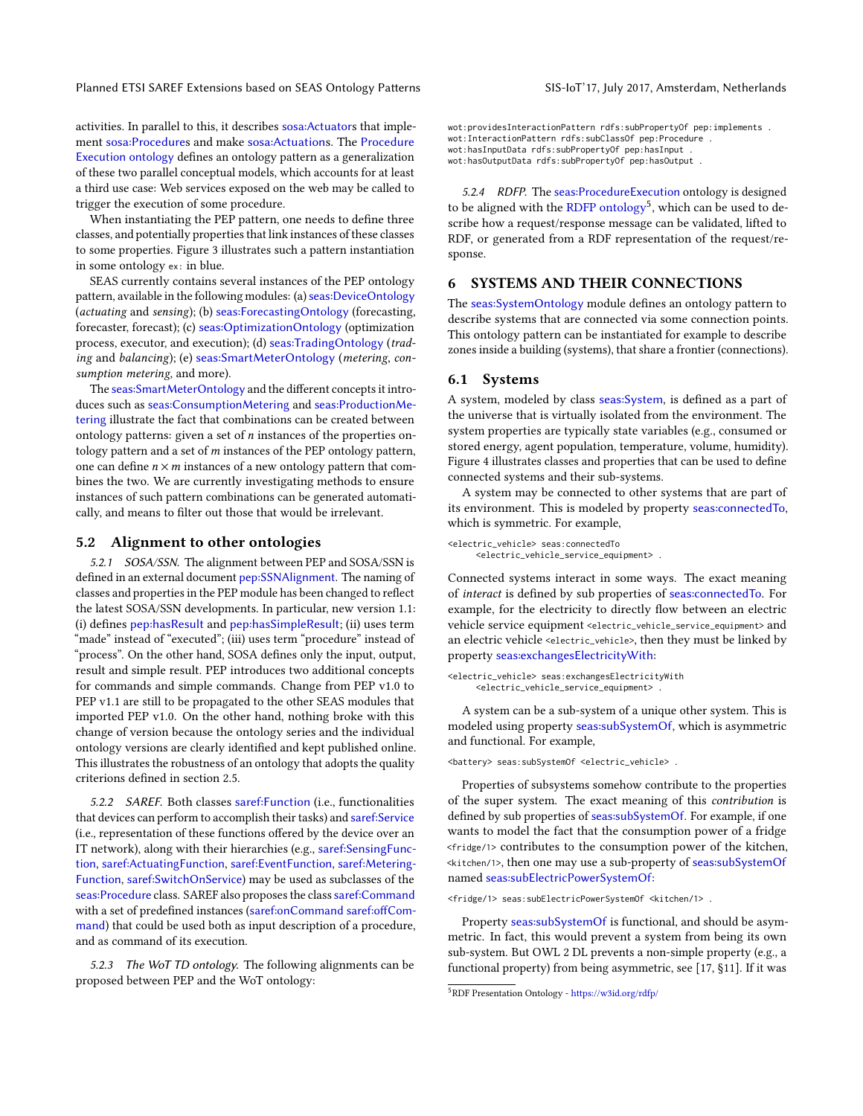Planned ETSI SAREF Extensions based on SEAS Ontology Patterns SIS-IoT'17, July 2017, Amsterdam, Netherlands

activities. In parallel to this, it describes [sosa:Actuator](http://www.w3.org/ns/sosa/Actuator)s that implement [sosa:Procedure](http://www.w3.org/ns/sosa/Procedure)s and make [sosa:Actuation](http://www.w3.org/ns/sosa/Actuation)s. The [Procedure](http://w3id.org/pep/) [Execution ontology](http://w3id.org/pep/) defines an ontology pattern as a generalization of these two parallel conceptual models, which accounts for at least a third use case: Web services exposed on the web may be called to trigger the execution of some procedure.

When instantiating the PEP pattern, one needs to define three classes, and potentially properties that link instances of these classes to some properties. Figure [3](#page-5-0) illustrates such a pattern instantiation in some ontology ex: in blue.

SEAS currently contains several instances of the PEP ontology pattern, available in the following modules: (a) [seas:DeviceOntology](https://w3id.org/seas/DeviceOntology) (actuating and sensing); (b) [seas:ForecastingOntology](https://w3id.org/seas/ForecastingOntology) (forecasting, forecaster, forecast); (c) [seas:OptimizationOntology](https://w3id.org/seas/OptimizationOntology) (optimization process, executor, and execution); (d) [seas:TradingOntology](https://w3id.org/seas/TradingOntology) (trading and balancing); (e) [seas:SmartMeterOntology](https://w3id.org/seas/SmartMeterOntology) (metering, consumption metering, and more).

The seas: SmartMeterOntology and the different concepts it introduces such as [seas:ConsumptionMetering](https://w3id.org/seas/ConsumptionMetering) and [seas:ProductionMe](https://w3id.org/seas/ProductionMetering)[tering](https://w3id.org/seas/ProductionMetering) illustrate the fact that combinations can be created between ontology patterns: given a set of  $n$  instances of the properties ontology pattern and a set of  $m$  instances of the PEP ontology pattern, one can define  $n \times m$  instances of a new ontology pattern that combines the two. We are currently investigating methods to ensure instances of such pattern combinations can be generated automatically, and means to filter out those that would be irrelevant.

## 5.2 Alignment to other ontologies

5.2.1 SOSA/SSN. The alignment between PEP and SOSA/SSN is defined in an external document [pep:SSNAlignment](https://w3id.org/pep/SSNAlignment). The naming of classes and properties in the PEP module has been changed to reflect the latest SOSA/SSN developments. In particular, new version 1.1: (i) defines [pep:hasResult](https://w3id.org/pep/hasResult) and [pep:hasSimpleResult](https://w3id.org/pep/hasSimpleResult); (ii) uses term "made" instead of "executed"; (iii) uses term "procedure" instead of "process". On the other hand, SOSA defines only the input, output, result and simple result. PEP introduces two additional concepts for commands and simple commands. Change from PEP v1.0 to PEP v1.1 are still to be propagated to the other SEAS modules that imported PEP v1.0. On the other hand, nothing broke with this change of version because the ontology series and the individual ontology versions are clearly identified and kept published online. This illustrates the robustness of an ontology that adopts the quality criterions defined in section [2.5.](#page-1-4)

5.2.2 SAREF. Both classes [saref:Function](https://w3id.org/saref/Function) (i.e., functionalities that devices can perform to accomplish their tasks) and [saref:Service](https://w3id.org/saref/Service) (i.e., representation of these functions offered by the device over an IT network), along with their hierarchies (e.g., [saref:SensingFunc](https://w3id.org/saref/SensingFunction)[tion](https://w3id.org/saref/SensingFunction), [saref:ActuatingFunction](https://w3id.org/saref/ActuatingFunction), [saref:EventFunction](https://w3id.org/saref/EventFunction), [saref:Metering-](https://w3id.org/saref/MeteringFunction)[Function](https://w3id.org/saref/MeteringFunction), [saref:SwitchOnService](https://w3id.org/saref/SwitchOnService)) may be used as subclasses of the [seas:Procedure](https://w3id.org/seas/Procedure) class. SAREF also proposes the class [saref:Command](https://w3id.org/saref/Command) with a set of predefined instances ([saref:onCommand](https://w3id.org/saref/onCommand) saref:offCom[mand](https://w3id.org/saref/offCommand)) that could be used both as input description of a procedure, and as command of its execution.

5.2.3 The WoT TD ontology. The following alignments can be proposed between PEP and the WoT ontology:

wot:providesInteractionPattern rdfs:subPropertyOf pep:implements . wot:InteractionPattern rdfs:subClassOf pep:Procedure . wot:hasInputData rdfs:subPropertyOf pep:hasInput . wot:hasOutputData rdfs:subPropertyOf pep:hasOutput .

5.2.4 RDFP. The [seas:ProcedureExecution](https://w3id.org/seas/ProcedureExecution) ontology is designed to be aligned with the [RDFP ontology](https://w3id.org/rdfp/)<sup>[5](#page-4-0)</sup>, which can be used to describe how a request/response message can be validated, lifted to RDF, or generated from a RDF representation of the request/response.

# 6 SYSTEMS AND THEIR CONNECTIONS

The [seas:SystemOntology](https://w3id.org/seas/SystemOntology) module defines an ontology pattern to describe systems that are connected via some connection points. This ontology pattern can be instantiated for example to describe zones inside a building (systems), that share a frontier (connections).

## 6.1 Systems

A system, modeled by class seas: System, is defined as a part of the universe that is virtually isolated from the environment. The system properties are typically state variables (e.g., consumed or stored energy, agent population, temperature, volume, humidity). Figure [4](#page-5-1) illustrates classes and properties that can be used to define connected systems and their sub-systems.

A system may be connected to other systems that are part of its environment. This is modeled by property [seas:connectedTo](https://w3id.org/seas/connectedTo), which is symmetric. For example,

```
<electric_vehicle> seas:connectedTo
     <electric_vehicle_service_equipment> .
```
Connected systems interact in some ways. The exact meaning of interact is defined by sub properties of [seas:connectedTo](https://w3id.org/seas/connectedTo). For example, for the electricity to directly flow between an electric vehicle service equipment <electric\_vehicle\_service\_equipment> and an electric vehicle <electric\_vehicle>, then they must be linked by property [seas:exchangesElectricityWith](https://w3id.org/seas/exchangesElectricityWith):

<electric\_vehicle> seas:exchangesElectricityWith <electric\_vehicle\_service\_equipment> .

A system can be a sub-system of a unique other system. This is modeled using property [seas:subSystemOf](https://w3id.org/seas/subSystemOf), which is asymmetric and functional. For example,

<battery> seas:subSystemOf <electric\_vehicle> .

Properties of subsystems somehow contribute to the properties of the super system. The exact meaning of this contribution is defined by sub properties of [seas:subSystemOf](https://w3id.org/seas/subSystemOf). For example, if one wants to model the fact that the consumption power of a fridge <fridge/1> contributes to the consumption power of the kitchen, <kitchen/1>, then one may use a sub-property of [seas:subSystemOf](https://w3id.org/seas/subSystemOf) named [seas:subElectricPowerSystemOf](https://w3id.org/seas/subElectricPowerSystemOf):

<fridge/1> seas:subElectricPowerSystemOf <kitchen/1> .

Property [seas:subSystemOf](https://w3id.org/seas/subSystemOf) is functional, and should be asymmetric. In fact, this would prevent a system from being its own sub-system. But OWL 2 DL prevents a non-simple property (e.g., a functional property) from being asymmetric, see [\[17,](#page-7-4) §11]. If it was

<span id="page-4-0"></span><sup>5</sup>RDF Presentation Ontology - <https://w3id.org/rdfp/>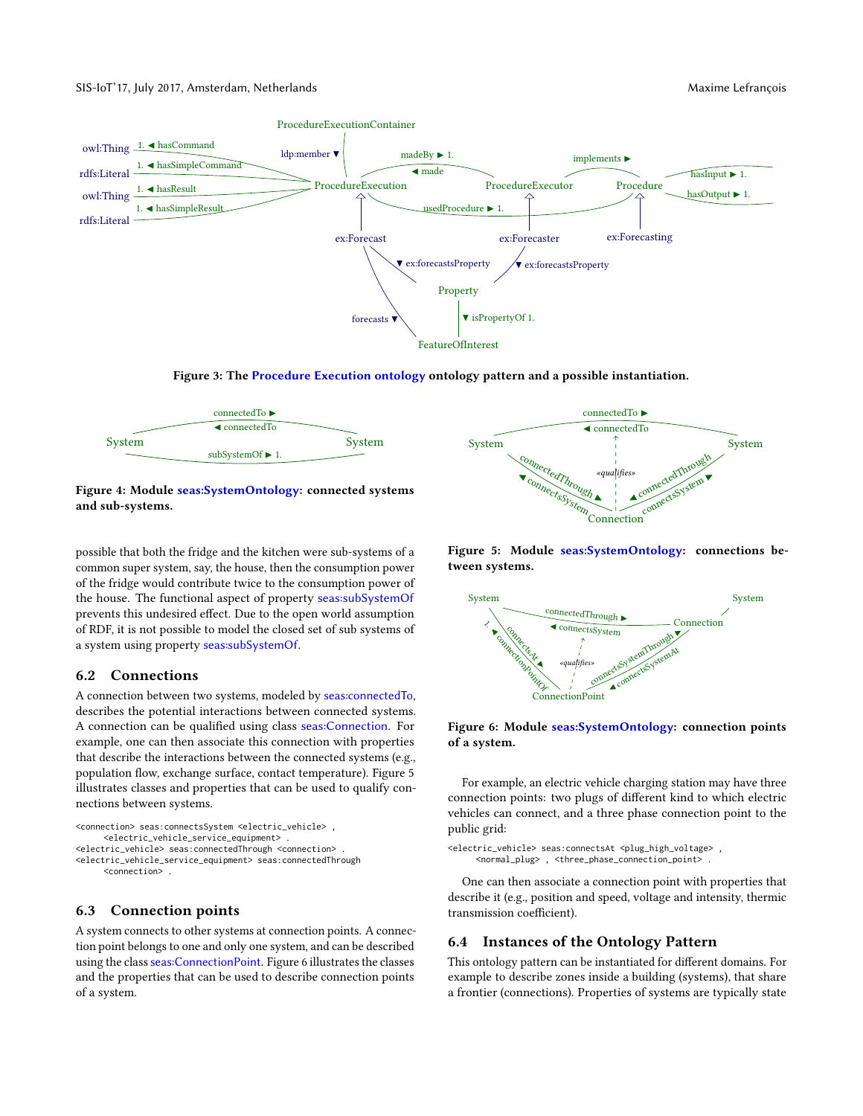<span id="page-5-0"></span>

Figure 3: The [Procedure Execution ontology](http://w3id.org/pep/) ontology pattern and a possible instantiation.

<span id="page-5-1"></span>

Figure 4: Module [seas:SystemOntology](https://w3id.org/seas/SystemOntology): connected systems and sub-systems.

possible that both the fridge and the kitchen were sub-systems of a common super system, say, the house, then the consumption power of the fridge would contribute twice to the consumption power of the house. The functional aspect of property [seas:subSystemOf](https://w3id.org/seas/subSystemOf) prevents this undesired effect. Due to the open world assumption of RDF, it is not possible to model the closed set of sub systems of a system using property [seas:subSystemOf](https://w3id.org/seas/subSystemOf).

## 6.2 Connections

A connection between two systems, modeled by [seas:connectedTo](https://w3id.org/seas/connectedTo), describes the potential interactions between connected systems. A connection can be qualified using class [seas:Connection](https://w3id.org/seas/Connection). For example, one can then associate this connection with properties that describe the interactions between the connected systems (e.g., population flow, exchange surface, contact temperature). Figure [5](#page-5-2) illustrates classes and properties that can be used to qualify connections between systems.

```
<connection> seas:connectsSystem <electric_vehicle> ,
     <electric_vehicle_service_equipment> .
<electric_vehicle> seas:connectedThrough <connection> .
<electric_vehicle_service_equipment> seas:connectedThrough
     <connection> .
```
## 6.3 Connection points

A system connects to other systems at connection points. A connection point belongs to one and only one system, and can be described using the class [seas:ConnectionPoint](https://w3id.org/seas/ConnectionPoint). Figure [6](#page-5-3) illustrates the classes and the properties that can be used to describe connection points of a system.

<span id="page-5-2"></span>

Figure 5: Module [seas:SystemOntology](https://w3id.org/seas/SystemOntology): connections between systems.

<span id="page-5-3"></span>

## Figure 6: Module [seas:SystemOntology](https://w3id.org/seas/SystemOntology): connection points of a system.

For example, an electric vehicle charging station may have three connection points: two plugs of different kind to which electric vehicles can connect, and a three phase connection point to the public grid:

```
<electric_vehicle> seas:connectsAt <plug_high_voltage> ,
     <normal_plug> , <three_phase_connection_point> .
```
One can then associate a connection point with properties that describe it (e.g., position and speed, voltage and intensity, thermic transmission coefficient).

# 6.4 Instances of the Ontology Pattern

This ontology pattern can be instantiated for different domains. For example to describe zones inside a building (systems), that share a frontier (connections). Properties of systems are typically state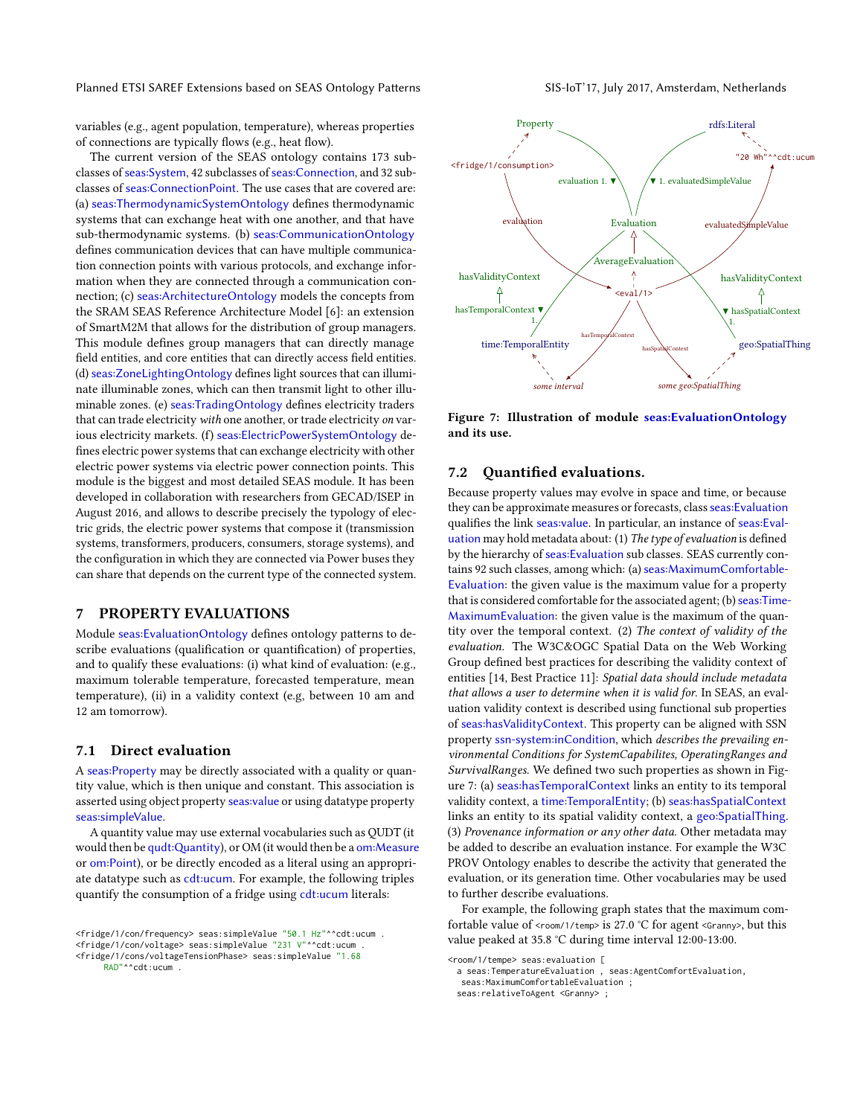Planned ETSI SAREF Extensions based on SEAS Ontology Patterns SIS-IoT'17, July 2017, Amsterdam, Netherlands

variables (e.g., agent population, temperature), whereas properties of connections are typically flows (e.g., heat flow).

The current version of the SEAS ontology contains 173 subclasses of [seas:System](https://w3id.org/seas/System), 42 subclasses of [seas:Connection](https://w3id.org/seas/Connection), and 32 subclasses of [seas:ConnectionPoint](https://w3id.org/seas/ConnectionPoint). The use cases that are covered are: (a) [seas:ThermodynamicSystemOntology](https://w3id.org/seas/ThermodynamicSystemOntology) defines thermodynamic systems that can exchange heat with one another, and that have sub-thermodynamic systems. (b) [seas:CommunicationOntology](https://w3id.org/seas/CommunicationOntology) defines communication devices that can have multiple communication connection points with various protocols, and exchange information when they are connected through a communication connection; (c) [seas:ArchitectureOntology](https://w3id.org/seas/ArchitectureOntology) models the concepts from the SRAM SEAS Reference Architecture Model [\[6\]](#page-7-16): an extension of SmartM2M that allows for the distribution of group managers. This module defines group managers that can directly manage field entities, and core entities that can directly access field entities. (d) [seas:ZoneLightingOntology](https://w3id.org/seas/ZoneLightingOntology) defines light sources that can illuminate illuminable zones, which can then transmit light to other illuminable zones. (e) [seas:TradingOntology](https://w3id.org/seas/TradingOntology) defines electricity traders that can trade electricity with one another, or trade electricity on various electricity markets. (f) [seas:ElectricPowerSystemOntology](https://w3id.org/seas/ElectricPowerSystemOntology) de fines electric power systems that can exchange electricity with other electric power systems via electric power connection points. This module is the biggest and most detailed SEAS module. It has been developed in collaboration with researchers from GECAD/ISEP in August 2016, and allows to describe precisely the typology of electric grids, the electric power systems that compose it (transmission systems, transformers, producers, consumers, storage systems), and the configuration in which they are connected via Power buses they can share that depends on the current type of the connected system.

# <span id="page-6-0"></span>7 PROPERTY EVALUATIONS

Module seas: Evaluation Ontology defines ontology patterns to describe evaluations (qualification or quantification) of properties, and to qualify these evaluations: (i) what kind of evaluation: (e.g., maximum tolerable temperature, forecasted temperature, mean temperature), (ii) in a validity context (e.g, between 10 am and 12 am tomorrow).

#### 7.1 Direct evaluation

A [seas:Property](https://w3id.org/seas/Property) may be directly associated with a quality or quantity value, which is then unique and constant. This association is asserted using object property [seas:value](https://w3id.org/seas/value) or using datatype property [seas:simpleValue](https://w3id.org/seas/simpleValue).

A quantity value may use external vocabularies such as QUDT (it would then be qudt:Quantity), or OM (it would then be a [om:Measure](http://www.wurvoc.org/vocabularies/om-1.8/Measure) or [om:Point](http://www.wurvoc.org/vocabularies/om-1.8/Point)), or be directly encoded as a literal using an appropriate datatype such as [cdt:ucum](http://w3id.org/lindt/custom_datatypes#ucum). For example, the following triples quantify the consumption of a fridge using [cdt:ucum](http://w3id.org/lindt/custom_datatypes#ucum) literals:

RAD"^^cdt:ucum .

```
<room/1/tempe> seas:evaluation [
 a seas:TemperatureEvaluation , seas:AgentComfortEvaluation,
```
seas:MaximumComfortableEvaluation ;

seas:relativeToAgent <Granny> ;

<span id="page-6-1"></span>

Figure 7: Illustration of module [seas:EvaluationOntology](https://w3id.org/seas/EvaluationOntology) and its use.

## 7.2 Ouantified evaluations.

Because property values may evolve in space and time, or because they can be approximate measures or forecasts, class [seas:Evaluation](https://w3id.org/seas/Evaluation) qualifies the link [seas:value](https://w3id.org/seas/value). In particular, an instance of [seas:Eval](https://w3id.org/seas/Evaluation)[uation](https://w3id.org/seas/Evaluation) may hold metadata about: (1) The type of evaluation is defined by the hierarchy of [seas:Evaluation](https://w3id.org/seas/Evaluation) sub classes. SEAS currently contains 92 such classes, among which: (a) [seas:MaximumComfortable-](https://w3id.org/seas/MaximumComfortableEvaluation)[Evaluation](https://w3id.org/seas/MaximumComfortableEvaluation): the given value is the maximum value for a property that is considered comfortable for the associated agent; (b) [seas:Time-](https://w3id.org/seas/TimeMaximumEvaluation)[MaximumEvaluation](https://w3id.org/seas/TimeMaximumEvaluation): the given value is the maximum of the quantity over the temporal context. (2) The context of validity of the evaluation. The W3C&OGC Spatial Data on the Web Working Group defined best practices for describing the validity context of entities [\[14,](#page-7-17) Best Practice 11]: Spatial data should include metadata that allows a user to determine when it is valid for. In SEAS, an evaluation validity context is described using functional sub properties of [seas:hasValidityContext](https://w3id.org/seas/hasValidityContext). This property can be aligned with SSN property [ssn-system:inCondition](http://www.w3.org/ns/ssn/systems/inCondition), which describes the prevailing environmental Conditions for SystemCapabilites, OperatingRanges and SurvivalRanges. We defined two such properties as shown in Figure [7:](#page-6-1) (a) [seas:hasTemporalContext](https://w3id.org/seas/hasTemporalContext) links an entity to its temporal validity context, a [time:TemporalEntity](http://www.w3.org/2006/time#TemporalEntity); (b) [seas:hasSpatialContext](https://w3id.org/seas/hasSpatialContext) links an entity to its spatial validity context, a [geo:SpatialThing](http://www.w3.org/2003/01/geo/wgs84_pos#SpatialThing). (3) Provenance information or any other data. Other metadata may be added to describe an evaluation instance. For example the W3C PROV Ontology enables to describe the activity that generated the evaluation, or its generation time. Other vocabularies may be used to further describe evaluations.

For example, the following graph states that the maximum comfortable value of < $r$ oom/1/temp> is 27.0 °C for agent < $G$ ranny>, but this value peaked at 35.8 °C during time interval 12:00-13:00.

<sup>&</sup>lt;fridge/1/con/frequency> seas:simpleValue "50.1 Hz"^^cdt:ucum . <fridge/1/con/voltage> seas:simpleValue "231 V"^^cdt:ucum . <fridge/1/cons/voltageTensionPhase> seas:simpleValue "1.68